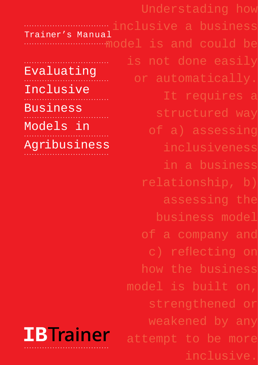|                   | Understading how      |
|-------------------|-----------------------|
| Trainer's Manual  |                       |
|                   | model is and could be |
|                   | is not done easily    |
| Evaluating        | or automatically.     |
| Inclusive         | It requires a         |
| <b>Business</b>   | structured way        |
| Models in         | of a) assessing       |
| Agribusiness      | inclusiveness         |
|                   | in a business         |
|                   | relationship, b)      |
|                   | assessing the         |
|                   | business model        |
|                   | of a company and      |
|                   | c) reflecting on      |
|                   | how the business      |
|                   | model is built on,    |
|                   | strengthened or       |
|                   | weakened by any       |
| <b>IB</b> Trainer | attempt to be more    |
|                   | inclusive.            |
|                   |                       |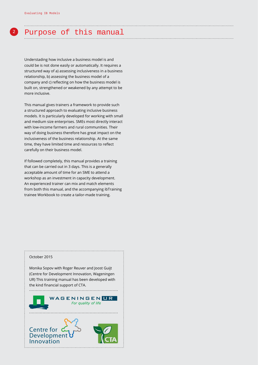# **<sup>2</sup>** Purpose of this manual

Understading how inclusive a business model is and could be is not done easily or automatically. It requires a structured way of a) assessing inclusiveness in a business relationship, b) assessing the business model of a company and c) reflecting on how the business model is built on, strengthened or weakened by any attempt to be more inclusive.

This manual gives trainers a framework to provide such a structured approach to evaluating inclusive business models. It is particularly developed for working with small and medium size enterprises. SMEs most directly interact with low-income farmers and rural communities. Their way of doing business therefore has great impact on the inclusiveness of the business relationship. At the same time, they have limited time and resources to reflect carefully on their business model.

If followed completely, this manual provides a training that can be carried out in 3 days. This is a generally acceptable amount of time for an SME to attend a workshop as an investment in capacity development. An experienced trainer can mix and match elements from both this manual, and the accompanying ibTraining trainee Workbook to create a tailor-made training.

#### October 2015

**Innovation**

Monika Sopov with Roger Reuver and Joost Guijt (Centre for Development Innovation, Wageningen UR) This training manual has been developed with the kind financial support of CTA.

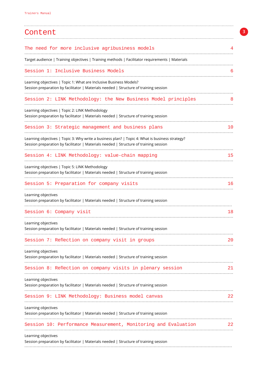| Content                                                                                                                                                                                  |    |
|------------------------------------------------------------------------------------------------------------------------------------------------------------------------------------------|----|
| The need for more inclusive agribusiness models                                                                                                                                          |    |
| Target audience   Training objectives   Training methods   Facilitator requirements   Materials                                                                                          |    |
| Session 1: Inclusive Business Models                                                                                                                                                     |    |
| Learning objectives   Topic 1: What are Inclusive Business Models?<br>Session preparation by facilitator   Materials needed   Structure of training session                              |    |
| Session 2: LINK Methodology: the New Business Model principles                                                                                                                           |    |
| Learning objectives   Topic 2: LINK Methodology<br>Session preparation by facilitator   Materials needed   Structure of training session                                                 |    |
| Session 3: Strategic management and business plans                                                                                                                                       | 10 |
| Learning objectives   Topic 3: Why write a business plan?   Topic 4: What is business strategy?<br>Session preparation by facilitator   Materials needed   Structure of training session |    |
| Session 4: LINK Methodology: value-chain mapping                                                                                                                                         | 15 |
| Learning objectives   Topic 5: LINK Methodology<br>Session preparation by facilitator   Materials needed   Structure of training session                                                 |    |
| Session 5: Preparation for company visits                                                                                                                                                | 16 |
| Learning objectives<br>Session preparation by facilitator   Materials needed   Structure of training session                                                                             |    |
| Session 6: Company visit                                                                                                                                                                 | 18 |
| Learning objectives                                                                                                                                                                      |    |
| Session preparation by facilitator   Materials needed   Structure of training session                                                                                                    |    |
| Session 7: Reflection on company visit in groups                                                                                                                                         | 20 |
| Learning objectives<br>Session preparation by facilitator   Materials needed   Structure of training session                                                                             |    |
| Session 8: Reflection on company visits in plenary session                                                                                                                               | 21 |
| Learning objectives<br>Session preparation by facilitator   Materials needed   Structure of training session                                                                             |    |
| Session 9: LINK Methodology: Business model canvas                                                                                                                                       | 22 |
| Learning objectives<br>Session preparation by facilitator   Materials needed   Structure of training session                                                                             |    |
| Session 10: Performance Measurement, Monitoring and Evaluation                                                                                                                           | 22 |
| Learning objectives<br>Session preparation by facilitator   Materials needed   Structure of training session                                                                             |    |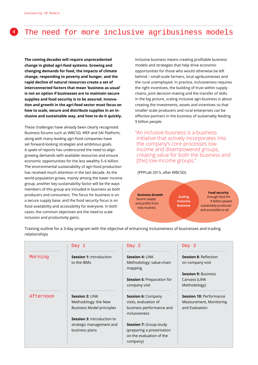# **<sup>4</sup>** The need for more inclusive agribusiness models

**The coming decades will require unprecedented change in global agri-food systems. Growing and changing demands for food, the impacts of climate change, responding to poverty and hunger, and the rapid decline of natural resources create a set of interconnected factors that mean 'business as usual' is not an option if businesses are to maintain secure supplies and food security is to be assured. Innovation and growth in the agri-food sector must focus on how to scale, secure and distribute supplies in an inclusive and sustainable way, and how to do it quickly.**

These challenges have already been clearly recognised. Business forums such as WBCSD, WEF and SAI Platform, along with many leading agri-food companies have set forward-looking strategies and ambitious goals. A spate of reports has underscored the need to align growing demands with available resources and ensure economic opportunities for the less wealthy 5–6 billion. The environmental sustainability of agri-food production has received much attention in the last decade. As the world population grows, mainly among the lower income group, another key sustainability factor will be the ways members of this group are included in business as both producers and consumers. The focus for business is on a secure supply base, and the food security focus is on food availability and accessibility for everyone. In both cases, the common objectives are the need to scale inclusion and productivity gains.

Inclusive business means creating profitable business models and strategies that help drive economic opportunities for those who would otherwise be left behind – small-scale farmers, local agribusinesses and the rural unemployed. In practice, inclusiveness requires the right incentives, the building of trust within supply chains, joint decision-making and the transfer of skills. In the big picture, scaling inclusive agri-business is about creating the investments, assets and incentives so that smaller-scale producers and rural enterprises can be effective partners in the business of sustainably feeding 9 billion people.

"An inclusive business is a business initiative that actively incorporates into the company's core processes lowincome and disempowered groups, creating value for both the business and [the] low-income groups."

(PPPLab 2015, after WBCSD).

**Business Growth** Secure supply and profits from new markets

**Food security Scaling Inclusive Business**

Enough food for 9 billion people sustainably produced and accessible to all

Training outline for a 3-day program with the objective of enhancing inclusiveness of businesses and trading relationships

|           | Day 1                                                                                                            | Day 2                                                                                              | Day 3                                                                       |
|-----------|------------------------------------------------------------------------------------------------------------------|----------------------------------------------------------------------------------------------------|-----------------------------------------------------------------------------|
| Morning   | <b>Session 1: Introduction</b><br>to the IBMs                                                                    | Session 4: LINK<br>Methodology: value-chain<br>mapping                                             | <b>Session 8: Reflection</b><br>on company visit                            |
|           |                                                                                                                  | <b>Session 5: Preparation for</b><br>company visit                                                 | <b>Session 9: Business</b><br>Canvass (LINK<br>Methodology)                 |
| Afternoon | Session 2: LINK<br>Methodology: the New<br><b>Business Model principles</b><br><b>Session 3: Introduction to</b> | <b>Session 6: Company</b><br>visits, evaluation of<br>business performance and<br>inclusiveness    | <b>Session 10: Performance</b><br>Measurement, Monitoring<br>and Evaluation |
|           | strategic management and<br>business plans                                                                       | <b>Session 7: Group-study</b><br>(preparing a presentation<br>on the evaluation of the<br>company) |                                                                             |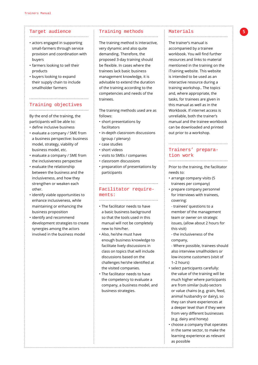#### Target audience

• actors engaged in supporting small-farmers through service provision and coordination with buyers

............................................

- farmers looking to sell their products
- buyers looking to expand their supply chain to include smallholder farmers

#### Training objectives ............................................

............................................

By the end of the training, the participants will be able to:

- define inclusive business • evaluate a company / SME from
- a business perspective: business model, strategy, viability of business model, etc.
- evaluate a company / SME from the inclusiveness perspective
- evaluate the relationship between the business and the inclusiveness, and how they strengthen or weaken each other.
- identify viable opportunities to enhance inclusiveness, while maintaining or enhancing the business proposition
- identify and recommend development strategies to create synergies among the actors involved in the business model

#### Training methods

The training method is interactive, very dynamic and also quite demanding. Therefore, the proposed 3-day training should be flexible. In cases where the trainees lack basic business management knowledge, it is advisable to extend the duration of the training according to the competencies and needs of the trainees.

............................................

The training methods used are as follows:

- short presentations by facilitators
- in-depth classroom discussions (group / plenary)
- case studies
- short videos
- visits to SMEs / companies
- classroom discussions
- preparation of presentations by participants

# Facilitator requirements: ............................................

............................................

- The facilitator needs to have a basic business background so that the tools used in this manual will not be completely new to him/her.
- Also, he/she must have enough business knowledge to facilitate lively discussions in class on topics that will include discussions based on the challenges he/she identified at the visited companies.
- The facilitator needs to have the competency to evaluate a company, a business model, and business strategies.

#### Materials ............................................

The trainer's manual is accompanied by a trainee workbook. You will find further resources and links to material mentioned in the training on the iTraining website. This website is intended to be used as an interactive resource during a training workshop.. The topics and, where appropriate, the tasks, for trainees are given in this manual as well as in the Workbook. If internet access is unreliable, both the trainer's manual and the trainee workbook can be downloaded and printed out prior to a workshop.

### Trainers' preparation work ............................................

Prior to the training, the facilitator needs to:

............................................

- arrange company visits (5 trainees per company)
- prepare company personnel for interviews with trainees, covering:
- trainees' questions to a member of the management team or owner on strategic issues, (allow about 2 hours for this visit)

 - the inclusiveness of the company,

 - Where possible, trainees should also interview smallholders or low-income customers (visit of 1–2 hours)

- select participants carefully: the value of the training will be much higher where participants are from similar (sub)-sectors or value chains (e.g. grain, feed, animal husbandry or dairy), so they can share experiences at a deeper level than if they were from very different businesses (e.g. dairy and honey)
- choose a company that operates in the same sector, to make the learning experience as relevant as possible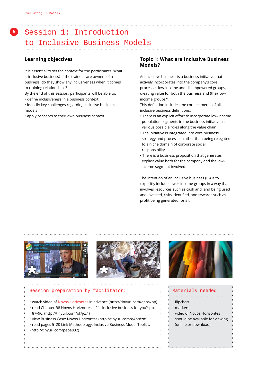# **<sup>6</sup>** Session 1: Introduction to Inclusive Business Models

# **Learning objectives**

It is essential to set the context for the participants. What is inclusive business? If the trainees are owners of a business, do they show any inclusiveness when it comes to training relationships?

By the end of this session, participants will be able to:

• define inclusiveness in a business context

• identify key challenges regarding inclusive business models

• apply concepts to their own business context

### **Topic 1: What are Inclusive Business Models?**

 An inclusive business is a business initiative that actively incorporates into the company's core processes low-income and disempowered groups, creating value for both the business and (the) lowincome groups\*.

This definition includes the core elements of allinclusive business definitions:

- There is an explicit effort to incorporate low-income population segments in the business initiative in various possible roles along the value chain.
- The initiative is integrated into core business strategy and processes, rather than being relegated to a niche domain of corporate social responsibility.
- There is a business proposition that generates explicit value both for the company and the low income segment involved.

 The intention of an inclusive business (IB) is to explicitly include lower-income groups in a way that involves resources such as cash and land being used and invested, risks identified, and rewards such as profit being generated for all.





#### Session preparation by facilitator: ................................................................................................

- watch video of [Novos Horizontes](http://tinyurl.com/qansxpp) in advance [\(http://tinyurl.com/qansxpp\)](http://tinyurl.com/qansxpp)
- read Chapter B8 Novos Horizontes, of 'Is inclusive business for you?' pp. 87–96. (http://tinyurl.com/ol7jcz4)
- view Business Case: Novos Horizontas (http://tinyurl.com/q4ptdzm)
- read pages 5–20 Link Methodology: Inclusive Business Model Toolkit, (http://tinyurl.com/peba832)



### Materials needed:

- .......................................... • flipchart
- markers
- video of Novos Horizontes should be available for viewing (online or download)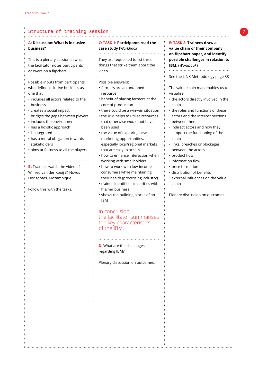# **A: Discussion: What is inclusive business?**

This is a plenary session in which the facilitator notes participants' answers on a flipchart.

Possible inputs from participants, who define inclusive business as one that:

- includes all actors related to the business
- creates a social impact
- bridges the gaps between players
- includes the environment
- has a holistic approach
- is integrated
- has a moral obligation towards stakeholders
- aims at fairness to all the players

.............................................

# **B:** Trainees watch the video of Wilfred van der Kooij @ Novos Horizontes, Mozambique.

Follow this with the tasks.

#### **C: TASK 1: Participants read the case study (***Workbook***)** .............................................

They are requested to list three things that strike them about the video.

#### Possible answers:

.....................................................................................................................................................

- farmers are an untapped resource
- benefit of placing farmers at the core of production
- there could be a win-win situation
- the IBM helps to utilise resources that otherwise would not have been used
- the value of exploring new marketing opportunities, especially local/regional markets that are easy to access
- how to enhance interaction when working with smallholders
- how to work with low-income consumers while maintaining their health (processing industry)
- trainee identified similarities with his/her business
- shows the building blocks of an IBM

# In conclusion, the facilitator summarises the key characteristics of the IBM.

.............................................

**D:** What are the challenges regarding IBM?

Plenary discussion on outcomes.

### **E: TASK 2: Trainees draw a value chain of their company on flipchart paper, and identify possible challenges in relation to IBM. (***Workbook***)**

............................................. See the LINK Methodology page 38

The value-chain map enables us to visualise:

- the actors directly involved in the chain
- the roles and functions of these actors and the interconnections between them
- indirect actors and how they support the functioning of the chain
- links, breaches or blockages between the actors
- product flow
- information flow
- price formation
- distribution of benefits
- external influences on the value chain

Plenary discussion on outcomes.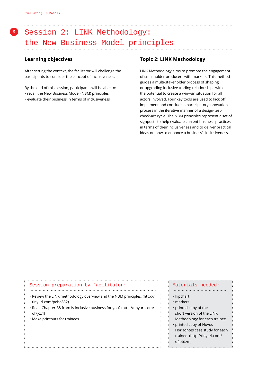# **<sup>8</sup>** Session 2: LINK Methodology: the New Business Model principles

# **Learning objectives**

After setting the context, the facilitator will challenge the participants to consider the concept of inclusiveness.

By the end of this session, participants will be able to:

- recall the New Business Model (NBM) principles
- evaluate their business in terms of inclusiveness

#### **Topic 2: LINK Methodology**

 LINK Methodology aims to promote the engagement of smallholder producers with markets. This method guides a multi-stakeholder process of shaping or upgrading inclusive trading relationships with the potential to create a win-win situation for all actors involved. Four key tools are used to kick off, implement and conclude a participatory innovation process in the iterative manner of a design-testcheck-act cycle. The NBM principles represent a set of signposts to help evaluate current business practices in terms of their inclusiveness and to deliver practical ideas on how to enhance a business's inclusiveness.

#### Session preparation by facilitator:

• [Review the LINK methodology overview and the NBM principles, \(http://]( (http://tinyurl.com/peba832)) [tinyurl.com/peba832\)]( (http://tinyurl.com/peba832))

..............................................................................................

- [Read Chapter B8 from Is inclusive business for you? \(http://tinyurl.com/]((http://tinyurl.com/ol7jcz4)) [ol7jcz4\)]((http://tinyurl.com/ol7jcz4))
- Make printouts for trainees.

#### Materials needed:

- .........................................
- flipchart
- markers
- printed copy of the short version of the LINK Methodology for each trainee
- printed copy of [Novos]( (http://tinyurl.com/q4ptdzm))  [Horizontes case study for each]( (http://tinyurl.com/q4ptdzm))  [trainee \(http://tinyurl.com/]( (http://tinyurl.com/q4ptdzm)) [q4ptdzm\)]( (http://tinyurl.com/q4ptdzm))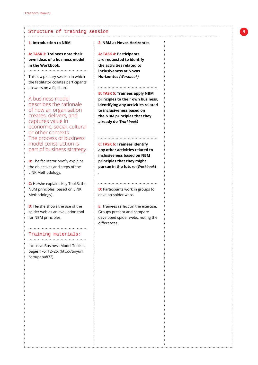#### **1. Introduction to NBM**

**A: TASK 3: Trainees note their own ideas of a business model in the Workbook.** 

............................................

This is a plenary session in which the facilitator collates participants' answers on a flipchart.

A business model describes the rationale of how an organisation creates, delivers, and captures value in economic, social, cultural or other contexts. The process of business model construction is part of business strategy.

**B:** The facilitator briefly explains the objectives and steps of the LINK Methodology.

**C:** He/she explains Key Tool 3: the NBM principles (based on LINK Methodology).

**D:** He/she shows the use of the spider web as an evaluation tool for NBM principles.

#### ............................................ Training materials:

............................................ [Inclusive Business Model Toolkit,]((http://tinyurl.com/peba832))  [pages 1–5, 12–26. \(http://tinyurl.]((http://tinyurl.com/peba832)) [com/peba832\)]((http://tinyurl.com/peba832))

**2. NBM at Novos Horizontes** 

.........................................................................................................................................................

**A: TASK 4: Participants are requested to identify the activities related to inclusiveness at Novos Horizontes** *(Workbook)*

#### ............................................

**B: TASK 5: Trainees apply NBM principles to their own business, identifying any activities related to inclusiveness based on the NBM principles that they already do** *(Workbook)*

.

**C: TASK 6: Trainees identify any other activities related to inclusiveness based on NBM principles that they might pursue in the future (***Workbook***)**

# **D:** Participants work in groups to develop spider webs.

............................................

**E:** Trainees reflect on the exercise. Groups present and compare developed spider webs, noting the differences.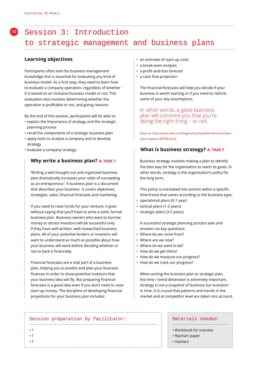# **<sup>10</sup>** Session 3: Introduction to strategic management and business plans

# **Learning objectives**

Participants often lack the business management knowledge that is essential for evaluating any kind of business model. As a first step, they need to learn how to evaluate a company operation, regardless of whether it is based on an inclusive business model or not. This evaluation also involves determining whether the operation is profitable or not, and giving reasons.

By the end of this session, participants will be able to:

- explain the importance of strategy and the strategic planning process
- recall the components of a strategic business plan
- apply tools to analyse a company and to develop strategy
- evaluate a company strategy

# **Why write a business plan? A: TASK 7**

 'Writing a well thought-out and organized business plan dramatically increases your odds of succeeding as an entrepreneur.' A business plan is a document that describes your business. It covers objectives, strategies, sales, financial forecasts and marketing.

 If you need to raise funds for your venture, it goes without saying that you'll have to write a solid, formal business plan. Business owners who want to borrow money or attract investors will be successful only if they have well-written, well-researched business plans. All of your potential lenders or investors will want to understand as much as possible about how your business will work before deciding whether or not to back it financially.

 Financial forecasts are a vital part of a business plan, helping you to predict and plan your business finances in order to show potential investors that your business idea will fly. But preparing financial forecasts is a good idea even if you don't need to raise start-up money. The discipline of developing financial projections for your business plan includes:

- an estimate of start-up costs
- a break-even analysis
- a profit-and-loss forecast
- a cash flow projection

The financial forecasts will help you decide if your business is worth starting or if you need to rethink some of your key assumptions.

# In other words, a good business plan will convince you that you're doing the right thing – or not.

 (Source: http://www.nolo.com/legal-encyclopedia/need-businessplan-reasons-29758.html)

# **What is business strategy? A: TASK 7**

 Business strategy involves making a plan to identify the best way for the organisation to reach its goals. In other words, strategy is the organisation's policy for the long term.

This policy is translated into actions within a specific time-frame that varies according to the business type:

- operational plans (0-1 year)
- tactical plans (1-2 years)
- strategic plans (3-5 years)

 A successful strategic planning process asks and answers six key questions:

- Where do we come from?
- Where are we now?
- Where do we want to be?
- How do we get there?
- How do we measure our progress?
- How do we track our progress?

 When writing the business plan or strategic plan, the time / trend dimension is extremely important. Strategy is not a snapshot of business but evolution in time. It is crucial that patterns and trends in the market and at competitor level are taken into account.

#### Session preparation by facilitator:

...............................................................................................

#### Materials needed: ..........................................

- Workbook for trainees
- flipchart paper
- markers

• ? • ? • ?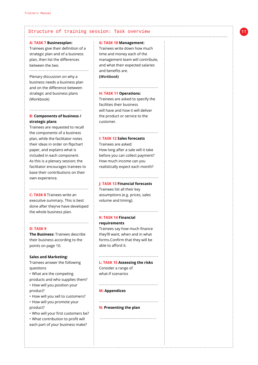### Structure of training session: Task overview

#### **A: TASK 7 Businessplan:**

Trainees give their definition of a strategic plan and of a business plan, then list the differences between the two.

#### ............................................

Plenary discussion on why a business needs a business plan and on the difference between strategic and business plans (Workbook)

## **B: Components of business / strategic plans**

.......................................

Trainees are requested to recall the components of a business plan, while the facilitator notes their ideas in order on flipchart paper, and explains what is included in each component. As this is a plenary session; the facilitator encourages trainees to base their contributions on their own experience.

**C: TASK 8** Trainees write an executive summary. This is best done after they've have developed the whole business plan.

............................................

............................................

#### **D: TASK 9**

**The Business:** Trainees describe their business according to the points on page 10.

#### **Sales and Marketing:**

Trainees answer the following questions

• What are the competing products and who supplies them? • How will you position your product?

• How will you sell to customers? • How will you promote your product?

• Who will your first customers be? • What contribution to profit will

each part of your business make?

#### **G: TASK 10 Management:**

....................................................................................................................................................

Trainees write down how much time and money each of the management team will contribute, and what their expected salaries and benefits are. **(***Workbook***)**

............................................

#### **H: TASK 11 Operations:**

Trainees are asked to specify the facilities their business will have and how it will deliver the product or service to the customer.

#### **I: TASK 12 Sales forecasts**

Trainees are asked: How long after a sale will it take before you can collect payment? How much income can you realistically expect each month?

#### ............................................ **J: TASK 13 Financial forecasts**

Trainees list all their key assumptions (e.g. prices, sales volume and timing).

............................................

# **K: TASK 14 Financial requirements**

Trainees say how much finance they'lll want, when and in what forms.Confirm that they will be able to afford it.

# ............................................

**L: TASK 15 Assessing the risks** Consider a range of what-if scenarios

............................................

............................................

..........................................

#### **M: Appendices**

**N: Presenting the plan**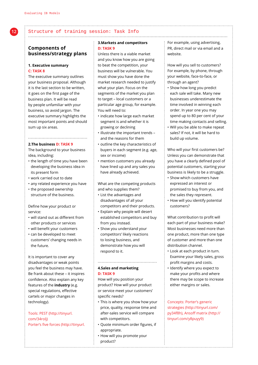#### Structure of training session: Task Info ....................................................................................................................................................

# **Components of business/strategy plans**

#### **1. Executive summary C: TASK 8**

The executive summary outlines your business proposal. Although it is the last section to be written, it goes on the first page of the business plan. It will be read by people unfamiliar with your business, so avoid jargon. The executive summary highlights the most important points and should sum up six areas.

#### **2.The business D: TASK 9**

The background to your business idea, including:

............................................

- the length of time you have been developing the business idea in its present form
- work carried out to date
- any related experience you have
- the proposed ownership structure of the business.

Define how your product or service:

- will stand out as different from other products or services
- will benefit your customers
- can be developed to meet customers' changing needs in the future.

It is important to cover any disadvantages or weak points you feel the business may have. Be frank about these – it inspires confidence. Also explain any key features of the **industry** (e.g. special regulations, effective cartels or major changes in technology).

#### Tools: [PEST \(http://tinyurl.](http://tinyurl.com/34rolj) [com/34rolj\)](http://tinyurl.com/34rolj)  Porter's five forces (http://tinyurl.

#### **3.Markets and competitors D: TASK 9**

Unless there is a viable market and you know how you are going to beat the competition, your business will be vulnerable. You must show you have done the market research needed to justify what your plan. Focus on the segments of the market you plan to target – local customers or a particular age group, for example. You will need to:

- indicate how large each market segment is and whether it is growing or declining
- illustrate the important trends and the reasons for them
- outline the key characteristics of buyers in each segment (e.g. age, sex or income)
- mention customers you already have lined up and any sales you have already achieved.

What are the competing products and who supplies them?

- List the advantages and disadvantages of all your competitors and their products.
- Explain why people will desert established competitors and buy from you instead.
- Show you understand your competitors' likely reactions to losing business, and demonstrate how you will respond to it.

#### **4.Sales and marketing D: TASK 9**

How will you position your product? How will your product or service meet your customers' specific needs?

............................................

- This is where you show how your price, quality, response time and after-sales service will compare with competitors.
- Quote minimum order figures, if appropriate.
- How will you promote your product?

For example, using advertising, PR, direct mail or via email and a website.

How will you sell to customers? For example, by phone, through your website, face-to-face, or through an agent?

- Show how long you predict each sale will take. Many new businesses underestimate the time involved in winning each order. In year one you may spend up to 80 per cent of your time making contacts and selling.
- Will you be able to make repeat sales? If not, it will be hard to build up volume.

Who will your first customers be? Unless you can demonstrate that you have a clearly defined pool of potential customers, starting your business is likely to be a struggle.

- Show which customers have expressed an interest or promised to buy from you, and the sales they represent.
- How will you identify potential customers?

What contribution to profit will each part of your business make? Most businesses need more than one product, more than one type of customer and more than one distribution channel.

- Look at each product in turn. Examine your likely sales, gross profit margins and costs.
- Identify where you expect to make your profits and where there may be scope to increase either margins or sales.

Concepts: [Porter's generic](http://tinyurl.com/py34f8h)  [strategies \(http://tinyurl.com/](http://tinyurl.com/py34f8h) [py34f8h\),](http://tinyurl.com/py34f8h) [Ansoff matrix \(http://](http://tinyurl.com/y8puyy9) [tinyurl.com/y8puyy9\)](http://tinyurl.com/y8puyy9)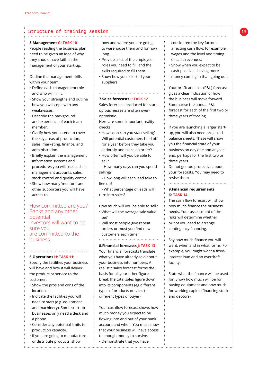#### **5.Management G: TASK 10**

People reading the business plan need to be given an idea of why they should have faith in the management of your start-up.

Outline the management skills within your team.

- Define each management role and who will fill it.
- Show your strengths and outline how you will cope with any weaknesses.
- Describe the background and experience of each team member.
- Clarify how you intend to cover the key areas of production, sales, marketing, finance, and administration.
- Briefly explain the management information systems and procedures you will use, such as management accounts, sales, stock control and quality control.
- Show how many 'mentors' and other supporters you will have access to.

# How committed are you? Banks and any other potential investors will want to be sure you are committed to the business.

#### **6.Operations H: TASK 11:**

Specify the facilities your business will have and how it will deliver the product or service to the customer.

............................................

- Show the pros and cons of the location.
- Indicate the facilities you will need to start (e.g. equipment and machinery). Some start-up businesses only need a desk and a phone.
- Consider any potential limits to production capacity.
- If you are going to manufacture or distribute products, show

how and where you are going to warehouse them and for how long.

....................................................................................................................................................

- Provide a list of the employee roles you need to fill, and the skills required to fill them.
- Show how you selected your suppliers.

#### **7.Sales forecasts I: TASK 12**

Sales forecasts produced for startup businesses are often overoptimistic.

............................................

Here are some important reality checks:

- How soon can you start selling? Will potential customers hold off for a year before they take you seriously and place an order?
- How often will you be able to sell?

- How many days can you spend selling?

- How long will each lead take to line up?

- What percentage of leads will turn into sales?

How much will you be able to sell? • What will the average sale value

- be?
- Will most people give repeat orders or must you find new customers each time?

**8.Financial forecasts J: TASK 13** Your financial forecasts translate what you have already said about your business into numbers. A realistic sales forecast forms the basis for all your other figures. Break the total sales figure down into its components (eg different types of products or sales to different types of buyer).

Your cashflow forecast shows how much money you expect to be flowing into and out of your bank account and when. You must show that your business will have access to enough money to survive. • Demonstrate that you have

considered the key factors affecting cash flow; for example, wages and the level and timing of sales revenues.

• Show when you expect to be cash-positive – having more money coming in than going out.

Your profit and loss (P&L) forecast gives a clear indication of how the business will move forward. Summarise the annual P&L forecast for each of the first two or three years of trading.

If you are launching a larger startup, you will also need projected balance sheets. These will show you the financial state of your business on day one and at year end, perhaps for the first two or three years.

Do not get too protective about your forecasts. You may need to revise them.

#### **9.Financial requirements K: TASK 14**

............................................

The cash flow forecast will show how much finance the business needs. Your assessment of the risks will determine whether or not you need to arrange contingency financing.

Say how much finance you will want, when and in what forms. For example, you might want a fixedinterest loan and an overdraft facility.

State what the finance will be used for. Show how much will be for buying equipment and how much for working capital (financing stock and debtors).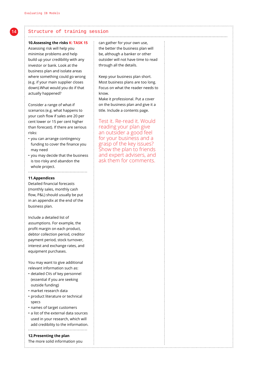#### .................................................................................................................................................... **10.Assessing the risks K: TASK 15**

Assessing risk will help you minimise problems and help build up your credibility with any investor or bank. Look at the business plan and isolate areas where something could go wrong (e.g. if your main supplier closes down).What would you do if that actually happened?

Consider a range of what-if scenarios (e.g. what happens to your cash flow if sales are 20 per cent lower or 15 per cent higher than forecast). If there are serious risks:

- you can arrange contingency funding to cover the finance you may need
- you may decide that the business is too risky and abandon the whole project. ............................................

#### **11.Appendices**

Detailed financial forecasts (monthly sales, monthly cash flow, P&L) should usually be put in an appendix at the end of the business plan.

Include a detailed list of assumptions. For example, the profit margin on each product, debtor collection period, creditor payment period, stock turnover, interest and exchange rates, and equipment purchases.

You may want to give additional relevant information such as:

- detailed CVs of key personnel (essential if you are seeking outside funding)
- market research data
- product literature or technical specs
- names of target customers
- a list of the external data sources used in your research, which will add credibility to the information. ............................................

**12.Presenting the plan**

The more solid information you

can gather for your own use, the better the business plan will be, although a banker or other outsider will not have time to read through all the details.

Keep your business plan short. Most business plans are too long. Focus on what the reader needs to know.

Make it professional. Put a cover on the business plan and give it a title. Include a contents page.

Test it. Re-read it. Would reading your plan give an outsider a good feel for your business and a grasp of the key issues? Show the plan to friends and expert advisers, and ask them for comments.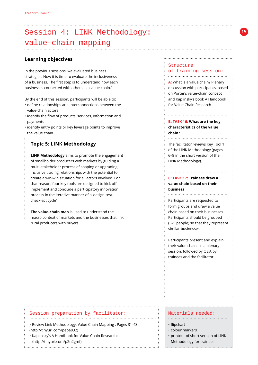# Session 4: LINK Methodology: value-chain mapping

# **Learning objectives**

In the previous sessions, we evaluated business strategies. Now it is time to evaluate the inclusiveness of a business. The first step is to understand how each business is connected with others in a value chain."

By the end of this session, participants will be able to:

- define relationships and interconnections between the value-chain actors
- identify the flow of products, services, information and payments
- identify entry points or key leverage points to improve the value chain

# **Topic 5: LINK Methodology**

 **LINK Methodology** aims to promote the engagement of smallholder producers with markets by guiding a multi-stakeholder process of shaping or upgrading inclusive trading relationships with the potential to create a win-win situation for all actors involved. For that reason, four key tools are designed to kick off, implement and conclude a participatory innovation process in the iterative manner of a 'design-testcheck-act cycle'.

 **The value-chain map** is used to understand the macro context of markets and the businesses that link rural producers with buyers.

#### Structure of training session: ............................................

**A:** What is a value chain? Plenary discussion with participants, based on Porter's value-chain concept and Kaplinsky's book A Handbook for Value Chain Research.

### **B: TASK 16: What are the key characteristics of the value chain?**

The facilitator reviews Key Tool 1 of the LINK Methodology (pages 6–8 in the short version of the LINK Methodology).

............................................

# **C: TASK 17: Trainees draw a value chain based on their business**

Participants are requested to form groups and draw a value chain based on their businesses. Participants should be grouped (3–5 people) so that they represent similar businesses.

Participants present and explain their value chains in a plenary session, followed by Q&A by trainees and the facilitator.

#### Session preparation by facilitator:

• Review Link Methodology: Value Chain Mapping , Pages 31-43 [\(http://tinyurl.com/peba832\)]((http://tinyurl.com/peba832) )

..............................................................................................

• Kaplinsky's A Handbook for Value Chain Research: [\(http://tinyurl.com/p2n2gmf\)]( (http://tinyurl.com/p2n2gmf))

### Materials needed:

- flipchart
- colour markers
- printout of short version of LINK Methodology for trainees

............................................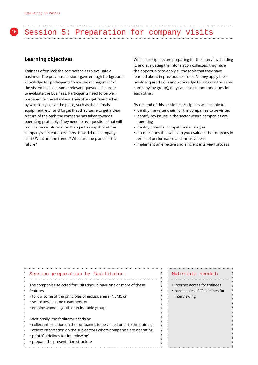# **<sup>16</sup>** Session 5: Preparation for company visits

# **Learning objectives**

Trainees often lack the competencies to evaluate a business. The previous sessions gave enough background knowledge for participants to ask the management of the visited business some relevant questions in order to evaluate the business. Participants need to be wellprepared for the interview. They often get side-tracked by what they see at the place, such as the animals, equipment, etc., and forget that they came to get a clear picture of the path the company has taken towards operating profitably. They need to ask questions that will provide more information than just a snapshot of the company's current operations. How did the company start? What are the trends? What are the plans for the future?

While participants are preparing for the interview, holding it, and evaluating the information collected, they have the opportunity to apply all the tools that they have learned about in previous sessions. As they apply their newly acquired skills and knowledge to focus on the same company (by group), they can also support and question each other.

By the end of this session, participants will be able to:

- identify the value chain for the companies to be visited
- identify key issues in the sector where companies are operating
- identify potential competitors/strategies
- ask questions that will help you evaluate the company in terms of performance and inclusiveness
- implement an effective and efficient interview process

#### Session preparation by facilitator: ...............................................................................................

The companies selected for visits should have one or more of these features:

- follow some of the principles of inclusiveness (NBM), or
- sell to low-income customers, or
- employ women, youth or vulnerable groups

Additionally, the facilitator needs to:

- collect information on the companies to be visited prior to the training
- collect information on the sub-sectors where companies are operating
- print 'Guidelines for Interviewing'
- prepare the presentation structure

#### Materials needed: ..........................................

- internet access for trainees
- hard copies of 'Guidelines for Interviewing'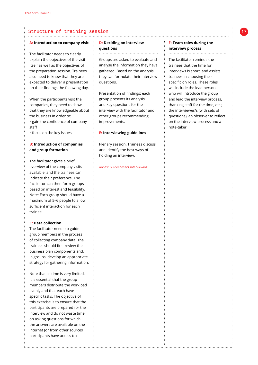#### **A: Introduction to company visit**

The facilitator needs to clearly explain the objectives of the visit itself as well as the objectives of the preparation session. Trainees also need to know that they are expected to deliver a presentation on their findings the following day.

When the participants visit the companies, they need to show that they are knowledgeable about the business in order to: • gain the confidence of company

- staff
- focus on the key issues

#### **B: Introduction of companies and group formation**

The facilitator gives a brief overview of the company visits available, and the trainees can indicate their preference. The facilitator can then form groups based on interest and feasibility. Note: Each group should have a maximum of 5–6 people to allow sufficient interaction for each trainee.

#### **C: Data collection**

The facilitator needs to guide group members in the process of collecting company data. The trainees should first review the business plan components and, in groups, develop an appropriate strategy for gathering information.

Note that as time is very limited, it is essential that the group members distribute the workload evenly and that each have specific tasks. The objective of this exercise is to ensure that the participants are prepared for the interview and do not waste time on asking questions for which the answers are available on the internet (or from other sources participants have access to).

### **D: Deciding on interview questions**

.....................................................................................................................................................

............................................

Groups are asked to evaluate and analyse the information they have gathered. Based on the analysis, they can formulate their interview questions.

Presentation of findings: each group presents its analysis and key questions for the interview with the facilitator and other groups recommending improvements.

#### **E: Interviewing guidelines**

Plenary session. Trainees discuss and identify the best ways of holding an interview.

Annex: Guidelines for interviewing

#### **F: Team roles during the interview process**  ............................................

The facilitator reminds the trainees that the time for interviews is short, and assists trainees in choosing their specific on roles. These roles will include the lead person, who will introduce the group and lead the interview process, thanking staff for the time, etc.; the interviewer/s (with sets of questions), an observer to reflect on the interview process and a note-taker.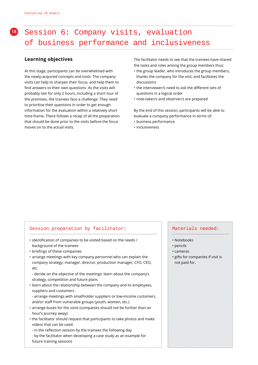# **<sup>18</sup>** Session 6: Company visits, evaluation of business performance and inclusiveness

# **Learning objectives**

At this stage, participants can be overwhelmed with the newly-acquired concepts and tools. The company visits can help to sharpen their focus, and help them to find answers to their own questions. As the visits will probably last for only 2 hours, including a short tour of the premises, the trainees face a challenge. They need to prioritise their questions in order to get enough information for the evaluation within a relatively short time-frame. There follows a recap of all the preparation that should be done prior to the visits before the focus moves on to the actual visits.

The facilitator needs to see that the trainees have shared the tasks and roles among the group members thus:

- the group leader, who introduces the group members, thanks the company for the visit, and facilitates the discussions
- the interviewer/s need to ask the different sets of questions in a logical order
- note-taker/s and observer/s are prepared

By the end of this session, participants will be able to evaluate a company performance in terms of:

- business performance
- inclusiveness

#### Session preparation by facilitator: ...............................................................................................

- identification of companies to be visited based on the needs / background of the trainees
- briefings of these companies
- arrange meetings with key company personnel who can explain the company strategy: manager, director, production manager, CFO, CEO, etc.

- decide on the objective of the meetings: learn about the company's strategy, competition and future plans
- learn about the relationship between the company and its employees, suppliers and customers
- arrange meetings with smallholder suppliers or low-income customers, and/or staff from vulnerable groups (youth, women, etc.)
- arrange buses for the visits (companies should not be further than an hour's journey away)
- the facilitator should request that participants to take photos and make videos that can be used:
	- in the reflection session by the trainees the following day
	- by the facilitator when developing a case study as an example for future training sessions

# Materials needed:

- ..........................................
- Notebooks
- pencils
- cameras
- gifts for companies if visit is not paid for.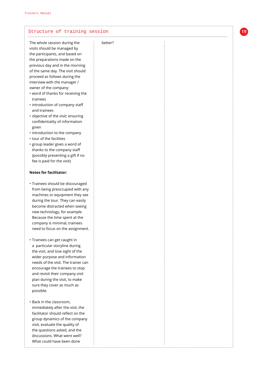| The whole session during the<br>better?<br>visits should be managed by<br>the participants, and based on<br>the preparations made on the<br>previous day and in the morning<br>of the same day. The visit should<br>proceed as follows during the<br>interview with the manager /<br>owner of the company:<br>• word of thanks for receiving the<br>trainees<br>• introduction of company staff<br>and trainees<br>· objective of the visit; ensuring<br>confidentiality of information<br>given<br>• introduction to the company<br>• tour of the facilities<br>· group leader gives a word of<br>thanks to the company staff<br>(possibly presenting a gift if no<br>fee is paid for the visit)<br><b>Notes for facilitator:</b><br>· Trainees should be discouraged<br>from being preoccupied with any<br>machines or equipment they see<br>during the tour. They can easily<br>become distracted when seeing<br>new technology, for example.<br>Because the time spent at the<br>company is minimal, trainees<br>need to focus on the assignment.<br>· Trainees can get caught in<br>a particular storyline during<br>the visit, and lose sight of the<br>wider purpose and information<br>needs of the visit. The trainer can<br>encourage the trainees to stop<br>and revisit their company visit<br>plan during the visit, to make<br>sure they cover as much as<br>possible.<br>• Back in the classroom,<br>immediately after the visit, the<br>facilitator should reflect on the<br>group dynamics of the company<br>visit, evaluate the quality of<br>the questions asked, and the<br>discussions. What went well?<br>What could have been done | Structure of training session |  |
|-----------------------------------------------------------------------------------------------------------------------------------------------------------------------------------------------------------------------------------------------------------------------------------------------------------------------------------------------------------------------------------------------------------------------------------------------------------------------------------------------------------------------------------------------------------------------------------------------------------------------------------------------------------------------------------------------------------------------------------------------------------------------------------------------------------------------------------------------------------------------------------------------------------------------------------------------------------------------------------------------------------------------------------------------------------------------------------------------------------------------------------------------------------------------------------------------------------------------------------------------------------------------------------------------------------------------------------------------------------------------------------------------------------------------------------------------------------------------------------------------------------------------------------------------------------------------------------------------------------------------------------------------------------|-------------------------------|--|
|                                                                                                                                                                                                                                                                                                                                                                                                                                                                                                                                                                                                                                                                                                                                                                                                                                                                                                                                                                                                                                                                                                                                                                                                                                                                                                                                                                                                                                                                                                                                                                                                                                                           |                               |  |
|                                                                                                                                                                                                                                                                                                                                                                                                                                                                                                                                                                                                                                                                                                                                                                                                                                                                                                                                                                                                                                                                                                                                                                                                                                                                                                                                                                                                                                                                                                                                                                                                                                                           |                               |  |
|                                                                                                                                                                                                                                                                                                                                                                                                                                                                                                                                                                                                                                                                                                                                                                                                                                                                                                                                                                                                                                                                                                                                                                                                                                                                                                                                                                                                                                                                                                                                                                                                                                                           |                               |  |
|                                                                                                                                                                                                                                                                                                                                                                                                                                                                                                                                                                                                                                                                                                                                                                                                                                                                                                                                                                                                                                                                                                                                                                                                                                                                                                                                                                                                                                                                                                                                                                                                                                                           |                               |  |
|                                                                                                                                                                                                                                                                                                                                                                                                                                                                                                                                                                                                                                                                                                                                                                                                                                                                                                                                                                                                                                                                                                                                                                                                                                                                                                                                                                                                                                                                                                                                                                                                                                                           |                               |  |
|                                                                                                                                                                                                                                                                                                                                                                                                                                                                                                                                                                                                                                                                                                                                                                                                                                                                                                                                                                                                                                                                                                                                                                                                                                                                                                                                                                                                                                                                                                                                                                                                                                                           |                               |  |
|                                                                                                                                                                                                                                                                                                                                                                                                                                                                                                                                                                                                                                                                                                                                                                                                                                                                                                                                                                                                                                                                                                                                                                                                                                                                                                                                                                                                                                                                                                                                                                                                                                                           |                               |  |
|                                                                                                                                                                                                                                                                                                                                                                                                                                                                                                                                                                                                                                                                                                                                                                                                                                                                                                                                                                                                                                                                                                                                                                                                                                                                                                                                                                                                                                                                                                                                                                                                                                                           |                               |  |
|                                                                                                                                                                                                                                                                                                                                                                                                                                                                                                                                                                                                                                                                                                                                                                                                                                                                                                                                                                                                                                                                                                                                                                                                                                                                                                                                                                                                                                                                                                                                                                                                                                                           |                               |  |
|                                                                                                                                                                                                                                                                                                                                                                                                                                                                                                                                                                                                                                                                                                                                                                                                                                                                                                                                                                                                                                                                                                                                                                                                                                                                                                                                                                                                                                                                                                                                                                                                                                                           |                               |  |
|                                                                                                                                                                                                                                                                                                                                                                                                                                                                                                                                                                                                                                                                                                                                                                                                                                                                                                                                                                                                                                                                                                                                                                                                                                                                                                                                                                                                                                                                                                                                                                                                                                                           |                               |  |
|                                                                                                                                                                                                                                                                                                                                                                                                                                                                                                                                                                                                                                                                                                                                                                                                                                                                                                                                                                                                                                                                                                                                                                                                                                                                                                                                                                                                                                                                                                                                                                                                                                                           |                               |  |
|                                                                                                                                                                                                                                                                                                                                                                                                                                                                                                                                                                                                                                                                                                                                                                                                                                                                                                                                                                                                                                                                                                                                                                                                                                                                                                                                                                                                                                                                                                                                                                                                                                                           |                               |  |
|                                                                                                                                                                                                                                                                                                                                                                                                                                                                                                                                                                                                                                                                                                                                                                                                                                                                                                                                                                                                                                                                                                                                                                                                                                                                                                                                                                                                                                                                                                                                                                                                                                                           |                               |  |
|                                                                                                                                                                                                                                                                                                                                                                                                                                                                                                                                                                                                                                                                                                                                                                                                                                                                                                                                                                                                                                                                                                                                                                                                                                                                                                                                                                                                                                                                                                                                                                                                                                                           |                               |  |
|                                                                                                                                                                                                                                                                                                                                                                                                                                                                                                                                                                                                                                                                                                                                                                                                                                                                                                                                                                                                                                                                                                                                                                                                                                                                                                                                                                                                                                                                                                                                                                                                                                                           |                               |  |
|                                                                                                                                                                                                                                                                                                                                                                                                                                                                                                                                                                                                                                                                                                                                                                                                                                                                                                                                                                                                                                                                                                                                                                                                                                                                                                                                                                                                                                                                                                                                                                                                                                                           |                               |  |
|                                                                                                                                                                                                                                                                                                                                                                                                                                                                                                                                                                                                                                                                                                                                                                                                                                                                                                                                                                                                                                                                                                                                                                                                                                                                                                                                                                                                                                                                                                                                                                                                                                                           |                               |  |
|                                                                                                                                                                                                                                                                                                                                                                                                                                                                                                                                                                                                                                                                                                                                                                                                                                                                                                                                                                                                                                                                                                                                                                                                                                                                                                                                                                                                                                                                                                                                                                                                                                                           |                               |  |
|                                                                                                                                                                                                                                                                                                                                                                                                                                                                                                                                                                                                                                                                                                                                                                                                                                                                                                                                                                                                                                                                                                                                                                                                                                                                                                                                                                                                                                                                                                                                                                                                                                                           |                               |  |
|                                                                                                                                                                                                                                                                                                                                                                                                                                                                                                                                                                                                                                                                                                                                                                                                                                                                                                                                                                                                                                                                                                                                                                                                                                                                                                                                                                                                                                                                                                                                                                                                                                                           |                               |  |
|                                                                                                                                                                                                                                                                                                                                                                                                                                                                                                                                                                                                                                                                                                                                                                                                                                                                                                                                                                                                                                                                                                                                                                                                                                                                                                                                                                                                                                                                                                                                                                                                                                                           |                               |  |
|                                                                                                                                                                                                                                                                                                                                                                                                                                                                                                                                                                                                                                                                                                                                                                                                                                                                                                                                                                                                                                                                                                                                                                                                                                                                                                                                                                                                                                                                                                                                                                                                                                                           |                               |  |
|                                                                                                                                                                                                                                                                                                                                                                                                                                                                                                                                                                                                                                                                                                                                                                                                                                                                                                                                                                                                                                                                                                                                                                                                                                                                                                                                                                                                                                                                                                                                                                                                                                                           |                               |  |
|                                                                                                                                                                                                                                                                                                                                                                                                                                                                                                                                                                                                                                                                                                                                                                                                                                                                                                                                                                                                                                                                                                                                                                                                                                                                                                                                                                                                                                                                                                                                                                                                                                                           |                               |  |
|                                                                                                                                                                                                                                                                                                                                                                                                                                                                                                                                                                                                                                                                                                                                                                                                                                                                                                                                                                                                                                                                                                                                                                                                                                                                                                                                                                                                                                                                                                                                                                                                                                                           |                               |  |
|                                                                                                                                                                                                                                                                                                                                                                                                                                                                                                                                                                                                                                                                                                                                                                                                                                                                                                                                                                                                                                                                                                                                                                                                                                                                                                                                                                                                                                                                                                                                                                                                                                                           |                               |  |
|                                                                                                                                                                                                                                                                                                                                                                                                                                                                                                                                                                                                                                                                                                                                                                                                                                                                                                                                                                                                                                                                                                                                                                                                                                                                                                                                                                                                                                                                                                                                                                                                                                                           |                               |  |
|                                                                                                                                                                                                                                                                                                                                                                                                                                                                                                                                                                                                                                                                                                                                                                                                                                                                                                                                                                                                                                                                                                                                                                                                                                                                                                                                                                                                                                                                                                                                                                                                                                                           |                               |  |
|                                                                                                                                                                                                                                                                                                                                                                                                                                                                                                                                                                                                                                                                                                                                                                                                                                                                                                                                                                                                                                                                                                                                                                                                                                                                                                                                                                                                                                                                                                                                                                                                                                                           |                               |  |
|                                                                                                                                                                                                                                                                                                                                                                                                                                                                                                                                                                                                                                                                                                                                                                                                                                                                                                                                                                                                                                                                                                                                                                                                                                                                                                                                                                                                                                                                                                                                                                                                                                                           |                               |  |
|                                                                                                                                                                                                                                                                                                                                                                                                                                                                                                                                                                                                                                                                                                                                                                                                                                                                                                                                                                                                                                                                                                                                                                                                                                                                                                                                                                                                                                                                                                                                                                                                                                                           |                               |  |
|                                                                                                                                                                                                                                                                                                                                                                                                                                                                                                                                                                                                                                                                                                                                                                                                                                                                                                                                                                                                                                                                                                                                                                                                                                                                                                                                                                                                                                                                                                                                                                                                                                                           |                               |  |
|                                                                                                                                                                                                                                                                                                                                                                                                                                                                                                                                                                                                                                                                                                                                                                                                                                                                                                                                                                                                                                                                                                                                                                                                                                                                                                                                                                                                                                                                                                                                                                                                                                                           |                               |  |
|                                                                                                                                                                                                                                                                                                                                                                                                                                                                                                                                                                                                                                                                                                                                                                                                                                                                                                                                                                                                                                                                                                                                                                                                                                                                                                                                                                                                                                                                                                                                                                                                                                                           |                               |  |
|                                                                                                                                                                                                                                                                                                                                                                                                                                                                                                                                                                                                                                                                                                                                                                                                                                                                                                                                                                                                                                                                                                                                                                                                                                                                                                                                                                                                                                                                                                                                                                                                                                                           |                               |  |
|                                                                                                                                                                                                                                                                                                                                                                                                                                                                                                                                                                                                                                                                                                                                                                                                                                                                                                                                                                                                                                                                                                                                                                                                                                                                                                                                                                                                                                                                                                                                                                                                                                                           |                               |  |
|                                                                                                                                                                                                                                                                                                                                                                                                                                                                                                                                                                                                                                                                                                                                                                                                                                                                                                                                                                                                                                                                                                                                                                                                                                                                                                                                                                                                                                                                                                                                                                                                                                                           |                               |  |
|                                                                                                                                                                                                                                                                                                                                                                                                                                                                                                                                                                                                                                                                                                                                                                                                                                                                                                                                                                                                                                                                                                                                                                                                                                                                                                                                                                                                                                                                                                                                                                                                                                                           |                               |  |
|                                                                                                                                                                                                                                                                                                                                                                                                                                                                                                                                                                                                                                                                                                                                                                                                                                                                                                                                                                                                                                                                                                                                                                                                                                                                                                                                                                                                                                                                                                                                                                                                                                                           |                               |  |
|                                                                                                                                                                                                                                                                                                                                                                                                                                                                                                                                                                                                                                                                                                                                                                                                                                                                                                                                                                                                                                                                                                                                                                                                                                                                                                                                                                                                                                                                                                                                                                                                                                                           |                               |  |
|                                                                                                                                                                                                                                                                                                                                                                                                                                                                                                                                                                                                                                                                                                                                                                                                                                                                                                                                                                                                                                                                                                                                                                                                                                                                                                                                                                                                                                                                                                                                                                                                                                                           |                               |  |
|                                                                                                                                                                                                                                                                                                                                                                                                                                                                                                                                                                                                                                                                                                                                                                                                                                                                                                                                                                                                                                                                                                                                                                                                                                                                                                                                                                                                                                                                                                                                                                                                                                                           |                               |  |
|                                                                                                                                                                                                                                                                                                                                                                                                                                                                                                                                                                                                                                                                                                                                                                                                                                                                                                                                                                                                                                                                                                                                                                                                                                                                                                                                                                                                                                                                                                                                                                                                                                                           |                               |  |
|                                                                                                                                                                                                                                                                                                                                                                                                                                                                                                                                                                                                                                                                                                                                                                                                                                                                                                                                                                                                                                                                                                                                                                                                                                                                                                                                                                                                                                                                                                                                                                                                                                                           |                               |  |
|                                                                                                                                                                                                                                                                                                                                                                                                                                                                                                                                                                                                                                                                                                                                                                                                                                                                                                                                                                                                                                                                                                                                                                                                                                                                                                                                                                                                                                                                                                                                                                                                                                                           |                               |  |
|                                                                                                                                                                                                                                                                                                                                                                                                                                                                                                                                                                                                                                                                                                                                                                                                                                                                                                                                                                                                                                                                                                                                                                                                                                                                                                                                                                                                                                                                                                                                                                                                                                                           |                               |  |
|                                                                                                                                                                                                                                                                                                                                                                                                                                                                                                                                                                                                                                                                                                                                                                                                                                                                                                                                                                                                                                                                                                                                                                                                                                                                                                                                                                                                                                                                                                                                                                                                                                                           |                               |  |
|                                                                                                                                                                                                                                                                                                                                                                                                                                                                                                                                                                                                                                                                                                                                                                                                                                                                                                                                                                                                                                                                                                                                                                                                                                                                                                                                                                                                                                                                                                                                                                                                                                                           |                               |  |
|                                                                                                                                                                                                                                                                                                                                                                                                                                                                                                                                                                                                                                                                                                                                                                                                                                                                                                                                                                                                                                                                                                                                                                                                                                                                                                                                                                                                                                                                                                                                                                                                                                                           |                               |  |
|                                                                                                                                                                                                                                                                                                                                                                                                                                                                                                                                                                                                                                                                                                                                                                                                                                                                                                                                                                                                                                                                                                                                                                                                                                                                                                                                                                                                                                                                                                                                                                                                                                                           |                               |  |
|                                                                                                                                                                                                                                                                                                                                                                                                                                                                                                                                                                                                                                                                                                                                                                                                                                                                                                                                                                                                                                                                                                                                                                                                                                                                                                                                                                                                                                                                                                                                                                                                                                                           |                               |  |
|                                                                                                                                                                                                                                                                                                                                                                                                                                                                                                                                                                                                                                                                                                                                                                                                                                                                                                                                                                                                                                                                                                                                                                                                                                                                                                                                                                                                                                                                                                                                                                                                                                                           |                               |  |
|                                                                                                                                                                                                                                                                                                                                                                                                                                                                                                                                                                                                                                                                                                                                                                                                                                                                                                                                                                                                                                                                                                                                                                                                                                                                                                                                                                                                                                                                                                                                                                                                                                                           |                               |  |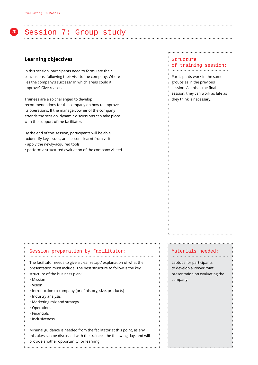

# **<sup>20</sup>** Session 7: Group study

### **Learning objectives**

In this session, participants need to formulate their conclusions, following their visit to the company. Where lies the company's success? 'In which areas could it improve? Give reasons.

Trainees are also challenged to develop recommendations for the company on how to improve its operations. If the manager/owner of the company attends the session, dynamic discussions can take place with the support of the facilitator.

By the end of this session, participants will be able to:identify key issues, and lessons learnt from visit

- apply the newly-acquired tools
- perform a structured evaluation of the company visited

#### **Structure** of training session: ..........................................

Participants work in the same groups as in the previous session. As this is the final session, they can work as late as they think is necessary.

# Session preparation by facilitator:

The facilitator needs to give a clear recap / explanation of what the presentation must include. The best structure to follow is the key structure of the business plan:

.............................................................................................

- Mission
- Vision
- Introduction to company (brief history, size, products)
- Industry analysis
- Marketing mix and strategy
- Operations
- Financials
- Inclusiveness

Minimal guidance is needed from the facilitator at this point, as any mistakes can be discussed with the trainees the following day, and will provide another opportunity for learning.

#### Materials needed: ..........................................

Laptops for participants to develop a PowerPoint presentation on evaluating the company.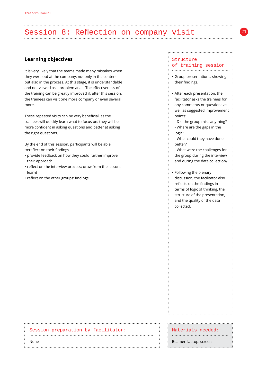# Session 8: Reflection on company visit

# **Learning objectives**

It is very likely that the teams made many mistakes when they were out at the company: not only in the content but also in the process. At this stage, it is understandable and not viewed as a problem at all. The effectiveness of the training can be greatly improved if, after this session, the trainees can visit one more company or even several more.

These repeated visits can be very beneficial, as the trainees will quickly learn what to focus on; they will be more confident in asking questions and better at asking the right questions.

By the end of this session, participants will be able to:reflect on their findings

- provide feedback on how they could further improve their approach
- reflect on the interview process; draw from the lessons learnt
- reflect on the other groups' findings

### Structure of training session:

...........................................

**21**

- Group presentations, showing their findings.
- After each presentation, the facilitator asks the trainees for any comments or questions as well as suggested improvement points:
- Did the group miss anything? - Where are the gaps in the logic?
- What could they have done better?
- What were the challenges for the group during the interview and during the data collection?
- Following the plenary discussion, the facilitator also reflects on the findings in terms of logic of thinking, the structure of the presentation, and the quality of the data collected.

. . . . . . . . . . . . . . . . . 1

| Session preparation by facilitator: | Materials needed:      |
|-------------------------------------|------------------------|
| None                                | Beamer, laptop, screen |
|                                     |                        |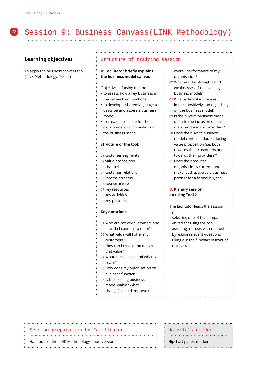# **<sup>22</sup>** Session 9: Business Canvass(LINK Methodology)

# **Learning objectives**

To apply the business canvass tool (LINK Methodology, Tool 2).

#### Structure of training session

...............................................................................................

#### **A: Facilitator briefly explains the business model canvas**

Objectives of using the tool:

- to assess how a key business in the value-chain functions
- to develop a shared language to describe and assess a business model
- to create a baseline for the development of innovations in the business model

#### **Structure of the tool:**

- 01 customer segments
- 02 value proposition
- 03 channels
- 04 customer relations
- 05 income streams
- 06 cost structure
- 07 key resources
- 08 key activities
- 09 key partners

#### **Key questions:**

- 01 Who are my key customers and how do I connect to them?
- 02 What value will I offer my customers?
- 03 How can I create and deliver that value?
- 04 What does it cost, and what can I earn?
- 05 How does my organisation or business function?
- 06 Is the existing business model viable? What

change(s) could improve the

overall performance of my organisation?

- 07 What are the strengths and weaknesses of the existing business model?
- 08 What external influences impact positively and negatively on the business model?
- 09 Is the buyer's business model open to the inclusion of smallscale producers as providers?
- 10 Does the buyer's business model contain a double-facing value proposition (i.e. both towards their customers and towards their providers)?
- 11 Does the producer organisation's current model make it attractive as a business partner for a formal buyer?

### **B: Plenary session on using Tool 2**

The facilitator leads the session by:

- selecting one of the companies visited for using the tool
- assisting trainees with the tool by asking relevant questions
- filling out the flipchart in front of the class

# Session preparation by facilitator:

............................................................................................

#### Handouts of the LINK Methodology, short version.

Materials needed: ............................................

Flipchart paper, markers.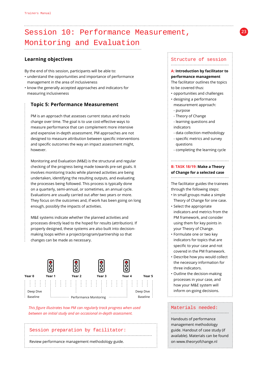# Session 10: Performance Measurement, Monitoring and Evaluation

# **Learning objectives**

By the end of this session, participants will be able to:

- understand the opportunities and importance of performance management in the area of inclusiveness
- know the generally accepted approaches and indicators for measuring inclusiveness

# **Topic 5: Performance Measurement**

 PM is an approach that assesses current status and tracks change over time. The goal is to use cost-effective ways to measure performance that can complement more intensive and expensive in-depth assessment. PM approaches are not designed to measure attribution between specific interventions and specific outcomes the way an impact assessment might, however.

Monitoring and Evaluation (M&E) is the structural and regular checking of the progress being made towards pre-set goals. It involves monitoring tracks while planned activities are being undertaken, identifying the resulting outputs, and evaluating the processes being followed. This process is typically done on a quarterly, semi-annual, or sometimes, an annual cycle. Evaluations are usually carried out after two years or more. They focus on the outcomes and, if work has been going on long enough, possibly the impacts of activities.

M&E systems indicate whether the planned activities and processes directly lead to the hoped for results (attribution). If properly designed, these systems are also built into decisionmaking loops within a project/program/partnership so that changes can be made as necessary.



*This figure illustrates how PM can regularly track progress when used between an initial study and an occasional in-depth assessment.*

# Session preparation by facilitator: ........................................................................................... Review performance management methodology guide.

#### Structure of session

#### ...........................................

#### **A: Introduction by facilitator to performance management**

The facilitator outlines the topics to be covered thus:

- opportunities and challenges
- designing a performance measurement approach:
- purpose
- Theory of Change
- learning questions and indicators
- data collection methodology
- specific metrics and survey questions
- completing the learning cycle

#### **B: TASK 18/19: Make a Theory of Change for a selected case**

...........................................

# The facilitator guides the trainees

through the following steps:

- In small groups make a simple Theory of Change for one case.
- Select the appropriate indicators and metrics from the PM framework, and consider using them for key points in your Theory of Change.
- Formulate one or two key indicators for topics that are specific to your case and not covered in the PM framework.
- Describe how you would collect the necessary information for three indicators.
- Outline the decision-making processes in your case, and how your M&E system will inform on-going decisions.

#### Materials needed: ...........................................

Handouts of performance management methodology guide. Handout of case study (if available). Materials can be found on [www.theoryofchange.nl](http://www.theoryofchange.nl )